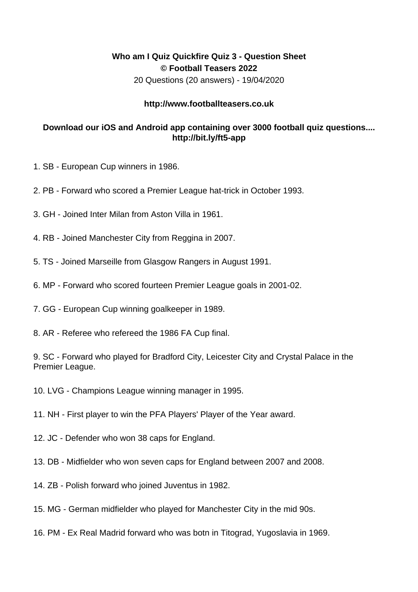## **Who am I Quiz Quickfire Quiz 3 - Question Sheet © Football Teasers 2022**

20 Questions (20 answers) - 19/04/2020

## **http://www.footballteasers.co.uk**

## **Download our iOS and Android app containing over 3000 football quiz questions.... http://bit.ly/ft5-app**

- 1. SB European Cup winners in 1986.
- 2. PB Forward who scored a Premier League hat-trick in October 1993.
- 3. GH Joined Inter Milan from Aston Villa in 1961.
- 4. RB Joined Manchester City from Reggina in 2007.
- 5. TS Joined Marseille from Glasgow Rangers in August 1991.
- 6. MP Forward who scored fourteen Premier League goals in 2001-02.
- 7. GG European Cup winning goalkeeper in 1989.
- 8. AR Referee who refereed the 1986 FA Cup final.

9. SC - Forward who played for Bradford City, Leicester City and Crystal Palace in the Premier League.

- 10. LVG Champions League winning manager in 1995.
- 11. NH First player to win the PFA Players' Player of the Year award.
- 12. JC Defender who won 38 caps for England.
- 13. DB Midfielder who won seven caps for England between 2007 and 2008.
- 14. ZB Polish forward who joined Juventus in 1982.
- 15. MG German midfielder who played for Manchester City in the mid 90s.
- 16. PM Ex Real Madrid forward who was botn in Titograd, Yugoslavia in 1969.